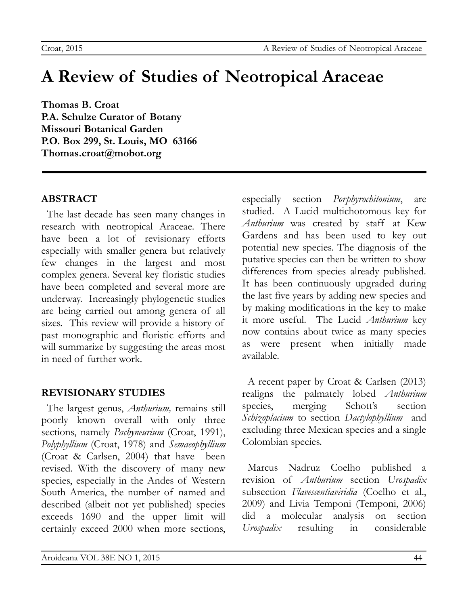# **A Review of Studies of Neotropical Araceae**

**Thomas B. Croat P.A. Schulze Curator of Botany Missouri Botanical Garden P.O. Box 299, St. Louis, MO 63166 Thomas.croat@mobot.org**

# **ABSTRACT**

The last decade has seen many changes in research with neotropical Araceae. There have been a lot of revisionary efforts especially with smaller genera but relatively few changes in the largest and most complex genera. Several key floristic studies have been completed and several more are underway. Increasingly phylogenetic studies are being carried out among genera of all sizes. This review will provide a history of past monographic and floristic efforts and will summarize by suggesting the areas most in need of further work.

## **REVISIONARY STUDIES**

The largest genus, *Anthurium,* remains still poorly known overall with only three sections, namely *Pachyneurium* (Croat, 1991), *Polyphyllium* (Croat, 1978) and *Semaeophyllium* (Croat & Carlsen, 2004) that have been revised. With the discovery of many new species, especially in the Andes of Western South America, the number of named and described (albeit not yet published) species exceeds 1690 and the upper limit will certainly exceed 2000 when more sections, especially section *Porphyrochitonium*, are studied. A Lucid multichotomous key for *Anthurium* was created by staff at Kew Gardens and has been used to key out potential new species. The diagnosis of the putative species can then be written to show differences from species already published. It has been continuously upgraded during the last five years by adding new species and by making modifications in the key to make it more useful. The Lucid *Anthurium* key now contains about twice as many species as were present when initially made available.

A recent paper by Croat & Carlsen (2013) realigns the palmately lobed *Anthurium* species, merging Schott's section *Schizoplacium* to section *Dactylophyllium* and excluding three Mexican species and a single Colombian species.

Marcus Nadruz Coelho published a revision of *Anthurium* section *Urospadix* subsection *Flavescentiaviridia* (Coelho et al., 2009) and Livia Temponi (Temponi, 2006) did a molecular analysis on section *Urospadix* resulting in considerable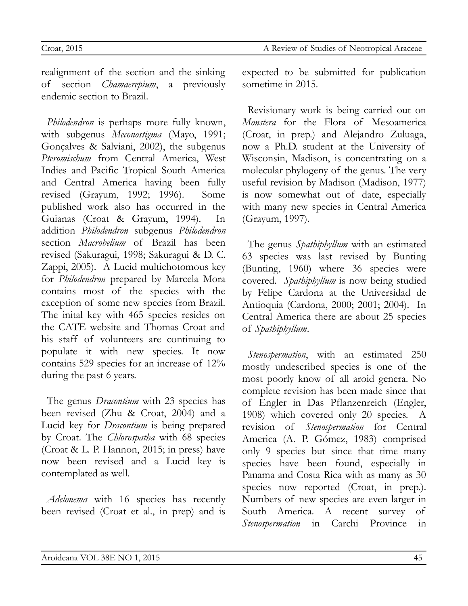realignment of the section and the sinking of section *Chamaerepium*, a previously endemic section to Brazil.

*Philodendron* is perhaps more fully known, with subgenus *Meconostigma* (Mayo, 1991; Gonçalves & Salviani, 2002), the subgenus *Pteromischum* from Central America, West Indies and Pacific Tropical South America and Central America having been fully revised (Grayum, 1992; 1996). Some published work also has occurred in the Guianas (Croat & Grayum, 1994). In addition *Philodendron* subgenus *Philodendron* section *Macrobelium* of Brazil has been revised (Sakuragui, 1998; Sakuragui & D. C. Zappi, 2005). A Lucid multichotomous key for *Philodendron* prepared by Marcela Mora contains most of the species with the exception of some new species from Brazil. The inital key with 465 species resides on the CATE website and Thomas Croat and his staff of volunteers are continuing to populate it with new species. It now contains 529 species for an increase of 12% during the past 6 years.

The genus *Dracontium* with 23 species has been revised (Zhu & Croat, 2004) and a Lucid key for *Dracontium* is being prepared by Croat. The *Chlorospatha* with 68 species (Croat & L. P. Hannon, 2015; in press) have now been revised and a Lucid key is contemplated as well.

*Adelonema* with 16 species has recently been revised (Croat et al., in prep) and is

expected to be submitted for publication sometime in 2015.

Revisionary work is being carried out on *Monstera* for the Flora of Mesoamerica (Croat, in prep.) and Alejandro Zuluaga, now a Ph.D. student at the University of Wisconsin, Madison, is concentrating on a molecular phylogeny of the genus. The very useful revision by Madison (Madison, 1977) is now somewhat out of date, especially with many new species in Central America (Grayum, 1997).

The genus *Spathiphyllum* with an estimated 63 species was last revised by Bunting (Bunting, 1960) where 36 species were covered. *Spathiphyllum* is now being studied by Felipe Cardona at the Universidad de Antioquia (Cardona, 2000; 2001; 2004). In Central America there are about 25 species of *Spathiphyllum*.

*Stenospermation*, with an estimated 250 mostly undescribed species is one of the most poorly know of all aroid genera. No complete revision has been made since that of Engler in Das Pflanzenreich (Engler, 1908) which covered only 20 species. A revision of *Stenospermation* for Central America (A. P. Gómez, 1983) comprised only 9 species but since that time many species have been found, especially in Panama and Costa Rica with as many as 30 species now reported (Croat, in prep.). Numbers of new species are even larger in South America. A recent survey of *Stenospermation* in Carchi Province in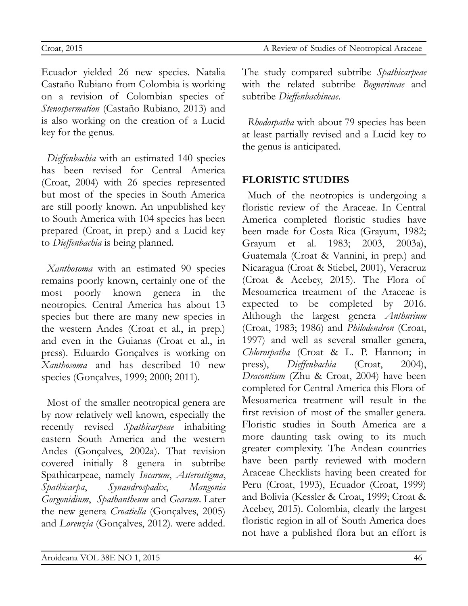Ecuador yielded 26 new species. Natalia Castaño Rubiano from Colombia is working on a revision of Colombian species of *Stenospermation* (Castaño Rubiano, 2013) and is also working on the creation of a Lucid key for the genus.

*Dieffenbachia* with an estimated 140 species has been revised for Central America (Croat, 2004) with 26 species represented but most of the species in South America are still poorly known. An unpublished key to South America with 104 species has been prepared (Croat, in prep.) and a Lucid key to *Dieffenbachia* is being planned.

*Xanthosoma* with an estimated 90 species remains poorly known, certainly one of the most poorly known genera in the neotropics. Central America has about 13 species but there are many new species in the western Andes (Croat et al., in prep.) and even in the Guianas (Croat et al., in press). Eduardo Gonçalves is working on *Xanthosoma* and has described 10 new species (Gonçalves, 1999; 2000; 2011).

Most of the smaller neotropical genera are by now relatively well known, especially the recently revised *Spathicarpeae* inhabiting eastern South America and the western Andes (Gonçalves, 2002a). That revision covered initially 8 genera in subtribe Spathicarpeae, namely *Incarum*, *Asterostigma*, *Spathicarpa*, *Synandrospadix*, *Mangonia Gorgonidium*, *Spathantheum* and *Gearum*. Later the new genera *Croatiella* (Gonçalves, 2005) and *Lorenzia* (Gonçalves, 2012). were added.

The study compared subtribe *Spathicarpeae* with the related subtribe *Bognerineae* and subtribe *Dieffenbachineae*.

*Rhodospatha* with about 79 species has been at least partially revised and a Lucid key to the genus is anticipated.

## **FLORISTIC STUDIES**

Much of the neotropics is undergoing a floristic review of the Araceae. In Central America completed floristic studies have been made for Costa Rica (Grayum, 1982; Grayum et al. 1983; 2003, 2003a), Guatemala (Croat & Vannini, in prep.) and Nicaragua (Croat & Stiebel, 2001), Veracruz (Croat & Acebey, 2015). The Flora of Mesoamerica treatment of the Araceae is expected to be completed by 2016. Although the largest genera *Anthurium* (Croat, 1983; 1986) and *Philodendron* (Croat, 1997) and well as several smaller genera, *Chlorospatha* (Croat & L. P. Hannon; in press), *Dieffenbachia* (Croat, 2004), *Dracontium* (Zhu & Croat, 2004) have been completed for Central America this Flora of Mesoamerica treatment will result in the first revision of most of the smaller genera. Floristic studies in South America are a more daunting task owing to its much greater complexity. The Andean countries have been partly reviewed with modern Araceae Checklists having been created for Peru (Croat, 1993), Ecuador (Croat, 1999) and Bolivia (Kessler & Croat, 1999; Croat & Acebey, 2015). Colombia, clearly the largest floristic region in all of South America does not have a published flora but an effort is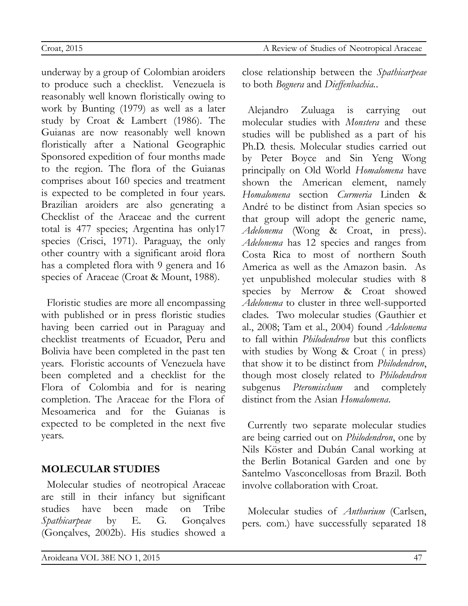underway by a group of Colombian aroiders to produce such a checklist. Venezuela is reasonably well known floristically owing to work by Bunting (1979) as well as a later study by Croat & Lambert (1986). The Guianas are now reasonably well known floristically after a National Geographic Sponsored expedition of four months made to the region. The flora of the Guianas comprises about 160 species and treatment is expected to be completed in four years. Brazilian aroiders are also generating a Checklist of the Araceae and the current total is 477 species; Argentina has only17 species (Crisci, 1971). Paraguay, the only other country with a significant aroid flora has a completed flora with 9 genera and 16 species of Araceae (Croat & Mount, 1988).

Floristic studies are more all encompassing with published or in press floristic studies having been carried out in Paraguay and checklist treatments of Ecuador, Peru and Bolivia have been completed in the past ten years. Floristic accounts of Venezuela have been completed and a checklist for the Flora of Colombia and for is nearing completion. The Araceae for the Flora of Mesoamerica and for the Guianas is expected to be completed in the next five years.

#### **MOLECULAR STUDIES**

Molecular studies of neotropical Araceae are still in their infancy but significant studies have been made on Tribe *Spathicarpeae* by E. G. Gonçalves (Gonçalves, 2002b). His studies showed a

close relationship between the *Spathicarpeae* to both *Bognera* and *Dieffenbachia.*.

Alejandro Zuluaga is carrying out molecular studies with *Monstera* and these studies will be published as a part of his Ph.D. thesis. Molecular studies carried out by Peter Boyce and Sin Yeng Wong principally on Old World *Homalomena* have shown the American element, namely *Homalomena* section *Curmeria* Linden & André to be distinct from Asian species so that group will adopt the generic name, *Adelonema* (Wong & Croat, in press). *Adelonema* has 12 species and ranges from Costa Rica to most of northern South America as well as the Amazon basin. As yet unpublished molecular studies with 8 species by Merrow & Croat showed *Adelonema* to cluster in three well-supported clades. Two molecular studies (Gauthier et al., 2008; Tam et al., 2004) found *Adelonema* to fall within *Philodendron* but this conflicts with studies by Wong & Croat ( in press) that show it to be distinct from *Philodendron*, though most closely related to *Philodendron* subgenus *Pteromischum* and completely distinct from the Asian *Homalomena*.

Currently two separate molecular studies are being carried out on *Philodendron*, one by Nils Köster and Dubán Canal working at the Berlin Botanical Garden and one by Santelmo Vasconcellosas from Brazil. Both involve collaboration with Croat.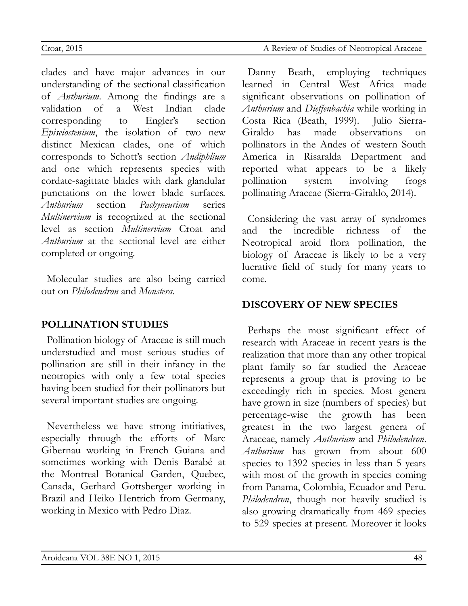clades and have major advances in our understanding of the sectional classification of *Anthurium*. Among the findings are a validation of a West Indian clade corresponding to Engler's section *Episeiostenium*, the isolation of two new distinct Mexican clades, one of which corresponds to Schott's section *Andiphlium* and one which represents species with cordate-sagittate blades with dark glandular punctations on the lower blade surfaces. *Anthurium* section *Pachyneurium* series *Multinervium* is recognized at the sectional level as section *Multinervium* Croat and *Anthurium* at the sectional level are either completed or ongoing.

Molecular studies are also being carried out on *Philodendron* and *Monstera*.

#### **POLLINATION STUDIES**

Pollination biology of Araceae is still much understudied and most serious studies of pollination are still in their infancy in the neotropics with only a few total species having been studied for their pollinators but several important studies are ongoing.

Nevertheless we have strong intitiatives, especially through the efforts of Marc Gibernau working in French Guiana and sometimes working with Denis Barabé at the Montreal Botanical Garden, Quebec, Canada, Gerhard Gottsberger working in Brazil and Heiko Hentrich from Germany, working in Mexico with Pedro Diaz.

Danny Beath, employing techniques learned in Central West Africa made significant observations on pollination of *Anthurium* and *Dieffenbachia* while working in Costa Rica (Beath, 1999). Julio Sierra-Giraldo has made observations on pollinators in the Andes of western South America in Risaralda Department and reported what appears to be a likely pollination system involving frogs pollinating Araceae (Sierra-Giraldo, 2014).

Considering the vast array of syndromes and the incredible richness of the Neotropical aroid flora pollination, the biology of Araceae is likely to be a very lucrative field of study for many years to come.

### **DISCOVERY OF NEW SPECIES**

Perhaps the most significant effect of research with Araceae in recent years is the realization that more than any other tropical plant family so far studied the Araceae represents a group that is proving to be exceedingly rich in species. Most genera have grown in size (numbers of species) but percentage-wise the growth has been greatest in the two largest genera of Araceae, namely *Anthurium* and *Philodendron*. *Anthurium* has grown from about 600 species to 1392 species in less than 5 years with most of the growth in species coming from Panama, Colombia, Ecuador and Peru. *Philodendron*, though not heavily studied is also growing dramatically from 469 species to 529 species at present. Moreover it looks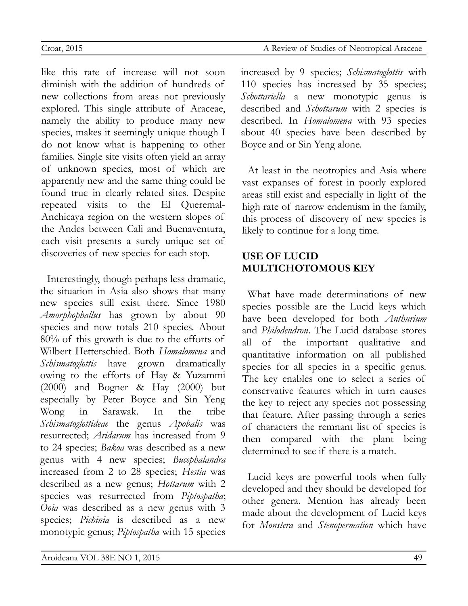like this rate of increase will not soon diminish with the addition of hundreds of new collections from areas not previously explored. This single attribute of Araceae, namely the ability to produce many new species, makes it seemingly unique though I do not know what is happening to other families. Single site visits often yield an array of unknown species, most of which are apparently new and the same thing could be found true in clearly related sites. Despite repeated visits to the El Queremal-Anchicaya region on the western slopes of the Andes between Cali and Buenaventura, each visit presents a surely unique set of discoveries of new species for each stop.

Interestingly, though perhaps less dramatic, the situation in Asia also shows that many new species still exist there. Since 1980 *Amorphophallus* has grown by about 90 species and now totals 210 species. About 80% of this growth is due to the efforts of Wilbert Hetterschied. Both *Homalomena* and *Schismatoglottis* have grown dramatically owing to the efforts of Hay & Yuzammi (2000) and Bogner & Hay (2000) but especially by Peter Boyce and Sin Yeng Wong in Sarawak. In the tribe *Schismatoglottideae* the genus *Apobalis* was resurrected; *Aridarum* has increased from 9 to 24 species; *Bakoa* was described as a new genus with 4 new species; *Bucephalandra* increased from 2 to 28 species; *Hestia* was described as a new genus; *Hottarum* with 2 species was resurrected from *Piptospatha*; *Ooia* was described as a new genus with 3 species; *Pichinia* is described as a new monotypic genus; *Piptospatha* with 15 species

increased by 9 species; *Schismatoglottis* with 110 species has increased by 35 species; *Schottariella* a new monotypic genus is described and *Schottarum* with 2 species is described. In *Homalomena* with 93 species about 40 species have been described by Boyce and or Sin Yeng alone.

At least in the neotropics and Asia where vast expanses of forest in poorly explored areas still exist and especially in light of the high rate of narrow endemism in the family, this process of discovery of new species is likely to continue for a long time.

#### **USE OF LUCID MULTICHOTOMOUS KEY**

What have made determinations of new species possible are the Lucid keys which have been developed for both *Anthurium* and *Philodendron*. The Lucid database stores all of the important qualitative and quantitative information on all published species for all species in a specific genus. The key enables one to select a series of conservative features which in turn causes the key to reject any species not possessing that feature. After passing through a series of characters the remnant list of species is then compared with the plant being determined to see if there is a match.

Lucid keys are powerful tools when fully developed and they should be developed for other genera. Mention has already been made about the development of Lucid keys for *Monstera* and *Stenopermation* which have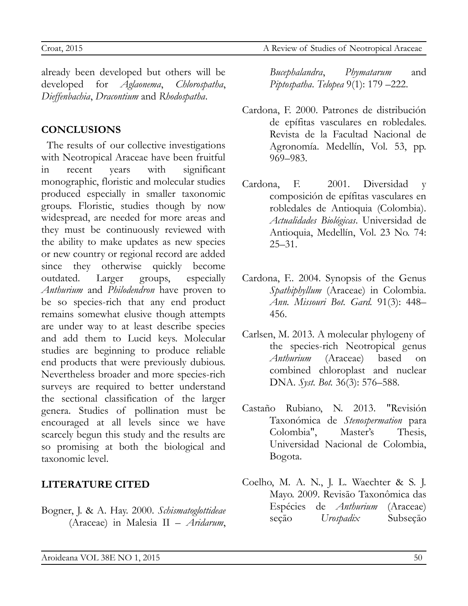already been developed but others will be developed for *Aglaonema*, *Chlorospatha*, *Dieffenbachia*, *Dracontium* and *Rhodospatha*.

## **CONCLUSIONS**

The results of our collective investigations with Neotropical Araceae have been fruitful in recent years with significant monographic, floristic and molecular studies produced especially in smaller taxonomic groups. Floristic, studies though by now widespread, are needed for more areas and they must be continuously reviewed with the ability to make updates as new species or new country or regional record are added since they otherwise quickly become outdated. Larger groups, especially *Anthurium* and *Philodendron* have proven to be so species-rich that any end product remains somewhat elusive though attempts are under way to at least describe species and add them to Lucid keys. Molecular studies are beginning to produce reliable end products that were previously dubious. Nevertheless broader and more species-rich surveys are required to better understand the sectional classification of the larger genera. Studies of pollination must be encouraged at all levels since we have scarcely begun this study and the results are so promising at both the biological and taxonomic level.

## **LITERATURE CITED**

Bogner, J. & A. Hay. 2000. *Schismatoglottideae* (Araceae) in Malesia II – *Aridarum*,

*Bucephalandra*, *Phymatarum* and *Piptospatha*. *Telopea* 9(1): 179 –222.

- Cardona, F. 2000. Patrones de distribución de epífitas vasculares en robledales. Revista de la Facultad Nacional de Agronomía. Medellín, Vol. 53, pp. 969–983.
- Cardona, F. 2001. Diversidad y composición de epífitas vasculares en robledales de Antioquia (Colombia). *Actualidades Biológicas*. Universidad de Antioquia, Medellín, Vol. 23 No. 74: 25–31.
- Cardona, F.. 2004. Synopsis of the Genus *Spathiphyllum* (Araceae) in Colombia. *Ann. Missouri Bot. Gard.* 91(3): 448– 456.
- Carlsen, M. 2013. A molecular phylogeny of the species-rich Neotropical genus *Anthurium* (Araceae) based on combined chloroplast and nuclear DNA. *Syst. Bot.* 36(3): 576–588.
- Castaño Rubiano, N. 2013. "Revisión Taxonómica de *Stenospermation* para Colombia", Master's Thesis, Universidad Nacional de Colombia, Bogota.
- Coelho, M. A. N., J. L. Waechter & S. J. Mayo. 2009. Revisāo Taxonômica das Espécies de *Anthurium* (Araceae) seçāo *Urospadix* Subseçāo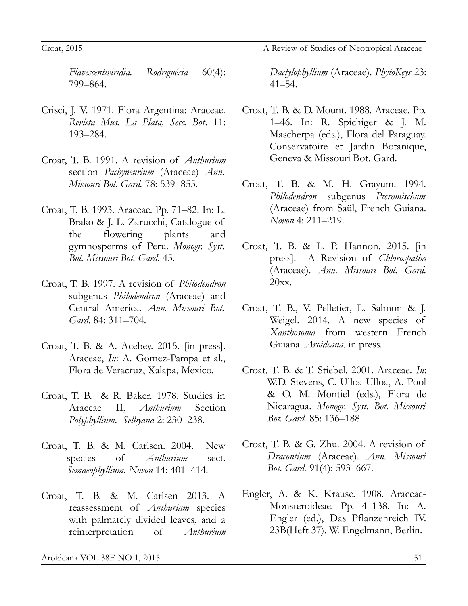Croat, 2015 A Review of Studies of Neotropical Araceae

*Flavescentiviridia. Rodriguésia* 60(4): 799–864.

- Crisci, J. V. 1971. Flora Argentina: Araceae. *Revista Mus. La Plata, Secc. Bot*. 11: 193–284.
- Croat, T. B. 1991. A revision of *Anthurium* section *Pachyneurium* (Araceae) *Ann. Missouri Bot. Gard.* 78: 539*–*855.
- Croat, T. B. 1993. Araceae. Pp. 71–82. In: L. Brako & J. L. Zarucchi, Catalogue of the flowering plants and gymnosperms of Peru. *Monogr. Syst. Bot. Missouri Bot. Gard.* 45.
- Croat, T. B. 1997. A revision of *Philodendron* subgenus *Philodendron* (Araceae) and Central America. *Ann. Missouri Bot. Gard.* 84: 311*–*704.
- Croat, T. B. & A. Acebey. 2015. [in press]. Araceae, *In*: A. Gomez-Pampa et al., Flora de Veracruz, Xalapa, Mexico.
- Croat, T. B. & R. Baker. 1978. Studies in Araceae II, *Anthurium* Section *Polyphyllium*. *Selbyana* 2: 230–238.
- Croat, T. B. & M. Carlsen. 2004. New species of *Anthurium* sect. *Semaeophyllium*. *Novon* 14: 401–414.
- Croat, T. B. & M. Carlsen 2013. A reassessment of *Anthurium* species with palmately divided leaves, and a reinterpretation of *Anthurium*

*Dactylophyllium* (Araceae). *PhytoKeys* 23: 41*–*54.

- Croat, T. B. & D. Mount. 1988. Araceae. Pp. 1–46. In: R. Spichiger & J. M. Mascherpa (eds.), Flora del Paraguay. Conservatoire et Jardin Botanique, Geneva & Missouri Bot. Gard.
- Croat, T. B. & M. H. Grayum. 1994. *Philodendron* subgenus *Pteromischum* (Araceae) from Saül, French Guiana. *Novon* 4: 211–219.
- Croat, T. B. & L. P. Hannon. 2015. [in press]. A Revision of *Chlorospatha* (Araceae). *Ann. Missouri Bot. Gard.* 20xx.
- Croat, T. B., V. Pelletier, L. Salmon & J. Weigel. 2014. A new species of *Xanthosoma* from western French Guiana. *Aroideana*, in press.
- Croat, T. B. & T. Stiebel. 2001. Araceae. *In*: W.D. Stevens, C. Ulloa Ulloa, A. Pool & O. M. Montiel (eds.), Flora de Nicaragua. *Monogr. Syst. Bot. Missouri Bot. Gard.* 85: 136–188.
- Croat, T. B. & G. Zhu. 2004. A revision of *Dracontium* (Araceae). *Ann. Missouri Bot. Gard.* 91(4): 593–667.
- Engler, A. & K. Krause. 1908. Araceae-Monsteroideae. Pp. 4–138. In: A. Engler (ed.), Das Pflanzenreich IV. 23B(Heft 37). W. Engelmann, Berlin.

 $A$ roideana VOL 38 $E$  NO 1, 2015  $51$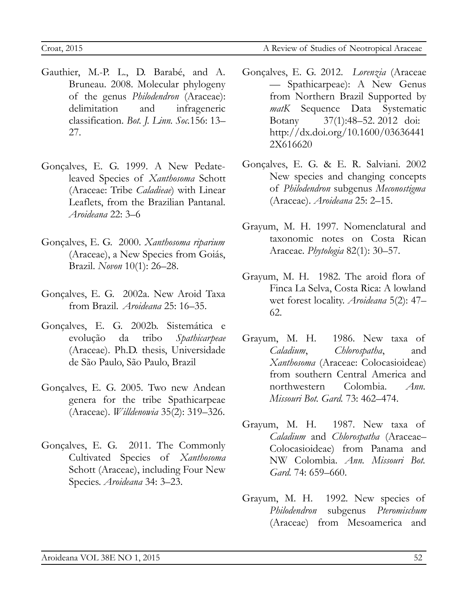- Gauthier, M.-P. L., D. Barabé, and A. Bruneau. 2008. Molecular phylogeny of the genus *Philodendron* (Araceae): delimitation and infrageneric classification. *Bot. J. Linn. Soc.*156: 13– 27.
- Gonçalves, E. G. 1999. A New Pedateleaved Species of *Xanthosoma* Schott (Araceae: Tribe *Caladieae*) with Linear Leaflets, from the Brazilian Pantanal. *Aroideana* 22: 3–6
- Gonçalves, E. G. 2000. *Xanthosoma riparium* (Araceae), a New Species from Goiás, Brazil. *Novon* 10(1): 26–28.
- Gonçalves, E. G. 2002a. New Aroid Taxa from Brazil. *Aroideana* 25: 16–35.
- Gonçalves, E. G. 2002b. Sistemática e evolução da tribo *Spathicarpeae* (Araceae). Ph.D. thesis, Universidade de São Paulo, São Paulo, Brazil
- Gonçalves, E. G. 2005. Two new Andean genera for the tribe Spathicarpeae (Araceae). *Willdenowia* 35(2): 319–326.
- Gonçalves, E. G. 2011. The Commonly Cultivated Species of *Xanthosoma* Schott (Araceae), including Four New Species. *Aroideana* 34: 3–23.
- Gonçalves, E. G. 2012. *Lorenzia* (Araceae — Spathicarpeae): A New Genus from Northern Brazil Supported by *matK* Sequence Data Systematic Botany 37(1):48–52. 2012 doi: http://dx.doi.org/10.1600/03636441 2X616620
- Gonçalves, E. G. & E. R. Salviani. 2002 New species and changing concepts of *Philodendron* subgenus *Meconostigma* (Araceae). *Aroideana* 25: 2–15.
- Grayum, M. H. 1997. Nomenclatural and taxonomic notes on Costa Rican Araceae. *Phytologia* 82(1): 30–57.
- Grayum, M. H. 1982. The aroid flora of Finca La Selva, Costa Rica: A lowland wet forest locality. *Aroideana* 5(2): 47– 62.
- Grayum, M. H. 1986. New taxa of *Caladium*, *Chlorospatha*, and *Xanthosoma* (Araceae: Colocasioideae) from southern Central America and northwestern Colombia. *Ann. Missouri Bot. Gard.* 73: 462–474.
- Grayum, M. H. 1987. New taxa of *Caladium* and *Chlorospatha* (Araceae– Colocasioideae) from Panama and NW Colombia. *Ann. Missouri Bot. Gard.* 74: 659–660.
- Grayum, M. H. 1992. New species of *Philodendron* subgenus *Pteromischum* (Araceae) from Mesoamerica and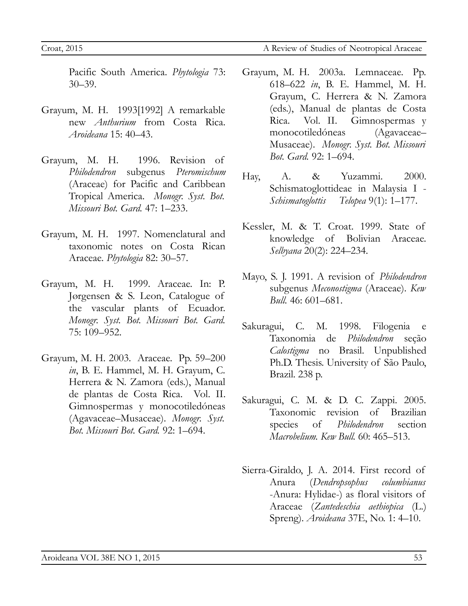Pacific South America. *Phytologia* 73: 30–39.

- Grayum, M. H. 1993[1992] A remarkable new *Anthurium* from Costa Rica. *Aroideana* 15: 40–43.
- Grayum, M. H. 1996. Revision of *Philodendron* subgenus *Pteromischum* (Araceae) for Pacific and Caribbean Tropical America. *Monogr. Syst. Bot. Missouri Bot. Gard.* 47: 1–233.
- Grayum, M. H. 1997. Nomenclatural and taxonomic notes on Costa Rican Araceae. *Phytologia* 82: 30–57.
- Grayum, M. H. 1999. Araceae. In: P. Jørgensen & S. Leon, Catalogue of the vascular plants of Ecuador. *Monogr. Syst. Bot. Missouri Bot. Gard.* 75: 109–952.
- Grayum, M. H. 2003. Araceae. Pp. 59–200 *in*, B. E. Hammel, M. H. Grayum, C. Herrera & N. Zamora (eds.), Manual de plantas de Costa Rica. Vol. II. Gimnospermas y monocotiledóneas (Agavaceae–Musaceae). *Monogr. Syst. Bot. Missouri Bot. Gard.* 92: 1–694.
- Grayum, M. H. 2003a. Lemnaceae. Pp. 618–622 *in*, B. E. Hammel, M. H. Grayum, C. Herrera & N. Zamora (eds.), Manual de plantas de Costa Rica. Vol. II. Gimnospermas y monocotiledóneas (Agavaceae– Musaceae). *Monogr. Syst. Bot. Missouri Bot. Gard.* 92: 1–694.
- Hay, A. & Yuzammi. 2000. Schismatoglottideae in Malaysia I - *Schismatoglottis Telopea* 9(1): 1–177.
- Kessler, M. & T. Croat. 1999. State of knowledge of Bolivian Araceae. *Selbyana* 20(2): 224–234.
- Mayo, S. J. 1991. A revision of *Philodendron* subgenus *Meconostigma* (Araceae). *Kew Bull.* 46: 601–681.
- Sakuragui, C. M. 1998. Filogenia e Taxonomia de *Philodendron* seção *Calostigma* no Brasil. Unpublished Ph.D. Thesis. University of São Paulo, Brazil. 238 p.
- Sakuragui, C. M. & D. C. Zappi. 2005. Taxonomic revision of Brazilian species of *Philodendron* section *Macrobelium. Kew Bull.* 60: 465–513.
- Sierra-Giraldo, J. A. 2014. First record of Anura (*Dendropsophus columbianus* -Anura: Hylidae-) as floral visitors of Araceae (*Zantedeschia aethiopica* (L.) Spreng). *Aroideana* 37E, No. 1: 4–10.